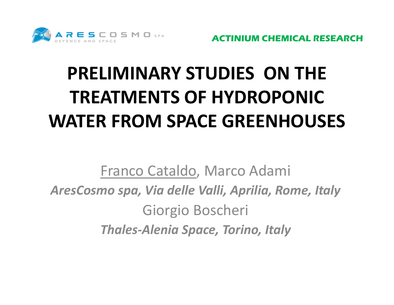

# **PRELIMINARY STUDIES ON THE TREATMENTS OF HYDROPONIC WATER FROM SPACE GREENHOUSES**

Franco Cataldo, Marco Adami *AresCosmo spa, Via delle Valli, Aprilia, Rome, Italy* Giorgio Boscheri *Thales‐Alenia Space, Torino, Italy*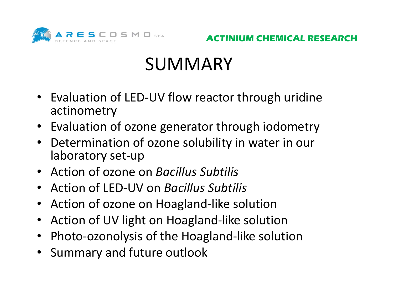

### **SUMMARY**

- Evaluation of LED‐UV flow reactor through uridine actinometry
- Evaluation of ozone generator through iodometry
- • Determination of ozone solubility in water in our laboratory set‐up
- Action of ozone on *Bacillus Subtilis*
- Action of LED‐UV on *Bacillus Subtilis*
- Action of ozone on Hoagland-like solution
- Action of UV light on Hoagland‐like solution
- Photo‐ozonolysis of the Hoagland‐like solution
- Summary and future outlook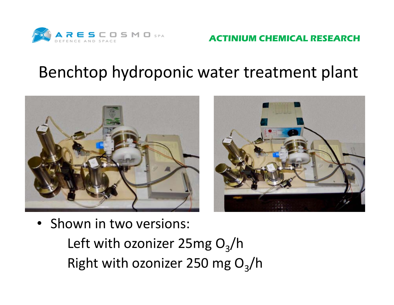

**IUM CHEMICAL RESEARCH** 

#### Benchtop hydroponic water treatment plant



• Shown in two versions:

Left with ozonizer 25mg O<sub>3</sub>/h Right with ozonizer 250 mg O<sub>3</sub>/h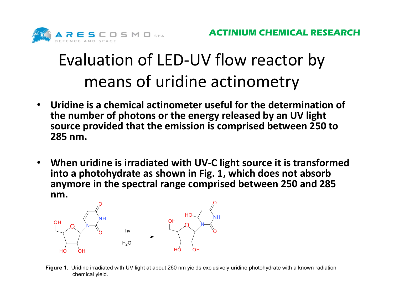

### Evaluation of LED‐UV flow reactor by means of uridine actinometry

- • **Uridine is a chemical actinometer useful for the determination of the number of photons or the energy released by an UV light source provided that the emission is comprised between 250 to 285 nm.**
- • **When uridine is irradiated with UV‐C light source it is transformed into a photohydrate as shown in Fig. 1, which does not absorb anymore in the spectral range comprised between 250 and 285 nm.**



**Figure 1.** Uridine irradiated with UV light at about 260 nm yields exclusively uridine photohydrate with a known radiation chemical yield.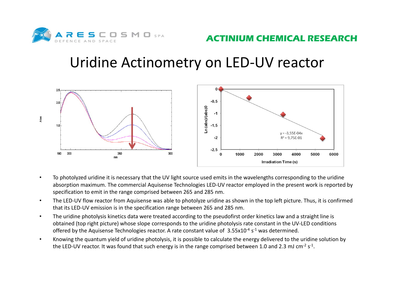

#### Uridine Actinometry on LED‐UV reactor



- • To photolyzed uridine it is necessary that the UV light source used emits in the wavelengths corresponding to the uridine absorption maximum. The commercial Aquisense Technologies LED‐UV reactor employed in the present work is reported by specification to emit in the range comprised between 265 and 285 nm.
- •The LED-UV flow reactor from Aquisense was able to photolyze uridine as shown in the top left picture. Thus, it is confirmed that its LED‐UV emission is in the specification range between 265 and 285 nm.
- • The uridine photolysis kinetics data were treated according to the pseudofirst order kinetics law and a straight line is obtained (top right picture) whose slope corresponds to the uridine photolysis rate constant in the UV‐LED conditions offered by the Aquisense Technologies reactor. A rate constant value of 3.55x10<sup>-4</sup> s<sup>-1</sup> was determined.
- • Knowing the quantum yield of uridine photolysis, it is possible to calculate the energy delivered to the uridine solution by the LED-UV reactor. It was found that such energy is in the range comprised between 1.0 and 2.3 mJ cm<sup>-2</sup> s<sup>-1</sup>.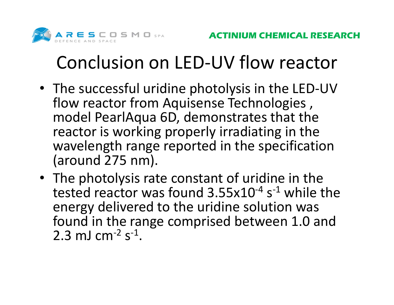

## Conclusion on LED‐UV flow reactor

- The successful uridine photolysis in the LED‐UV flow reactor from Aquisense Technologies , model PearlAqua 6D, demonstrates that the reactor is working properly irradiating in the wavelength range reported in the specification (around 275 nm).
- The photolysis rate constant of uridine in the tested reactor was found 3.55x10<sup>-4</sup> s<sup>-1</sup> while the energy delivered to the uridine solution was found in the range comprised between 1.0 and  $2.3 \ \mathrm{mJ \ cm^{-2} \ s^{-1}}.$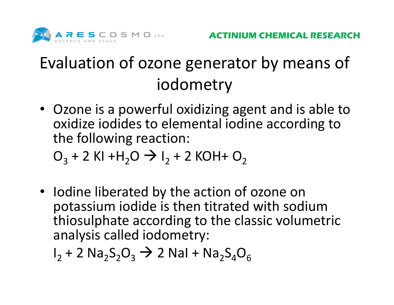

#### Evaluation of ozone generator by means of iodometry

• Ozone is a powerful oxidizing agent and is able to oxidize iodides to elemental iodine according to the following reaction:

 $O_3$  + 2 KI +H<sub>2</sub>O  $\rightarrow$  I<sub>2</sub> + 2 KOH+ O<sub>2</sub>

• Iodine liberated by the action of ozone on potassium iodide is then titrated with sodium thiosulphate according to the classic volumetric analysis called iodometry:

 $\mathsf{I}_2$  + 2  $\mathsf{Na}_2\mathsf{S}_2\mathsf{O}_3 \rightarrow$  2 NaI +  $\mathsf{Na}_2\mathsf{S}_4\mathsf{O}_6$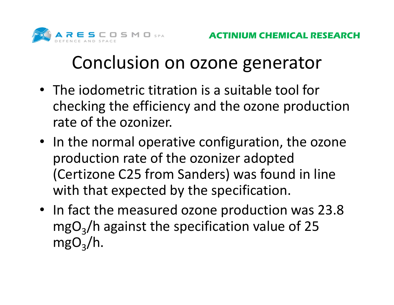

### Conclusion on ozone generator

- The iodometric titration is a suitable tool for checking the efficiency and the ozone production rate of the ozonizer.
- In the normal operative configuration, the ozone production rate of the ozonizer adopted (Certizone C25 from Sanders) was found in line with that expected by the specification.
- In fact the measured ozone production was 23.8 mgO<sub>3</sub>/h against the specification value of 25  $\mathsf{mgO}_{\mathsf{3}}/\mathsf{h}.$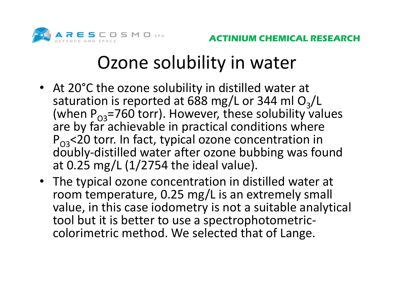

## Ozone solubility in water

- At 20°C the ozone solubility in distilled water at saturation is reported at 688 mg/L or 344 ml O<sub>3</sub>/L (when  $P_{O3}$ =760 torr). However, these solubility values are by far achievable in practical conditions where  $P_{O3}$ <20 torr. In fact, typical ozone concentration in doubly‐distilled water after ozone bubbing was found at 0.25 mg/L (1/2754 the ideal value).
- The typical ozone concentration in distilled water at room temperature, 0.25 mg/L is an extremely small value, in this case iodometry is not a suitable analytical tool but it is better to use a spectrophotometric‐ colorimetric method. We selected that of Lange.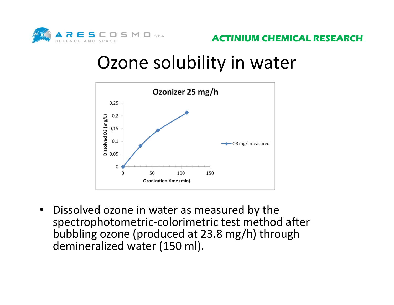

#### Ozone solubility in water



 $\bullet$  Dissolved ozone in water as measured by the spectrophotometric‐colorimetric test method after bubbling ozone (produced at 23.8 mg/h) through demineralized water (150 ml).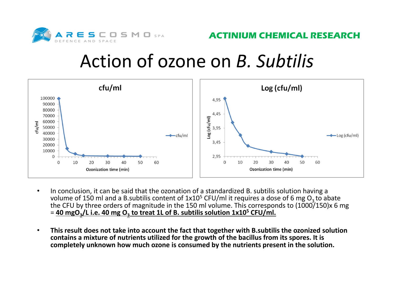

#### Action of ozone on *B. Subtilis*



- • In conclusion, it can be said that the ozonation of a standardized B. subtilis solution having a volume of 150 ml and a B.subtilis content of  $1x10^5$  CFU/ml it requires a dose of 6 mg O<sub>3</sub> to abate the CFU by three orders of magnitude in the 150 ml volume. This corresponds to (1000/150)x 6 mg = **40 mgO3/L i.e. 40 mg O3 to treat 1L of B. subtilis solution 1x105 CFU/ml.**
- • **This result does not take into account the fact that together with B.subtilis the ozonized solution contains a mixture of nutrients utilized for the growth of the bacillus from its spores. It is completely unknown how much ozone is consumed by the nutrients present in the solution.**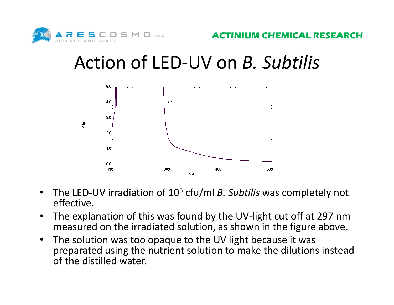

### Action of LED‐UV on *B. Subtilis*



- •• The LED-UV irradiation of 10<sup>5</sup> cfu/ml *B. Subtilis* was completely not effective.
- • The explanation of this was found by the UV‐light cut off at 297 nm measured on the irradiated solution, as shown in the figure above.
- $\bullet$  The solution was too opaque to the UV light because it was preparated using the nutrient solution to make the dilutions instead of the distilled water.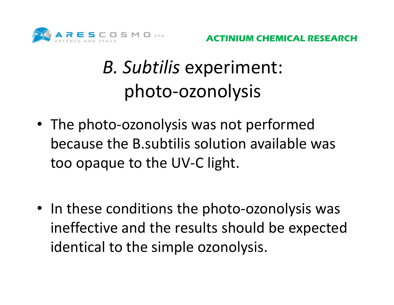

## *B. Subtilis* experiment: photo‐ozonolysis

- The photo-ozonolysis was not performed because the B.subtilis solution available was too opaque to the UV‐C light.
- In these conditions the photo-ozonolysis was ineffective and the results should be expected identical to the simple ozonolysis.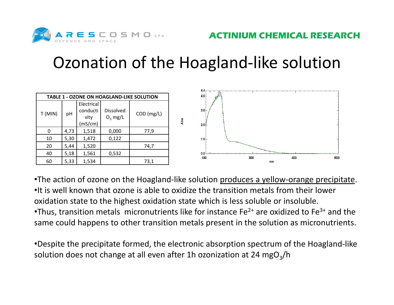

#### Ozonation of the Hoagland‐like solution



•The action of ozone on the Hoagland-like solution produces a yellow-orange precipitate. •It is well known that ozone is able to oxidize the transition metals from their lower oxidation state to the highest oxidation state which is less soluble or insoluble. •Thus, transition metals micronutrients like for instance Fe<sup>2+</sup> are oxidized to Fe<sup>3+</sup> and the same could happens to other transition metals present in the solution as micronutrients.

•Despite the precipitate formed, the electronic absorption spectrum of the Hoagland‐like solution does not change at all even after 1h ozonization at 24 mgO<sub>3</sub>/h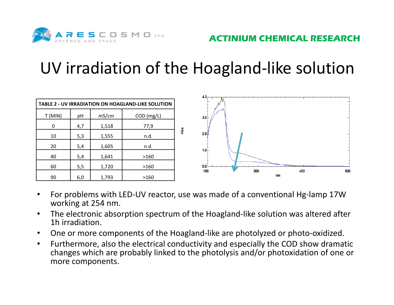

#### UV irradiation of the Hoagland‐like solution

| TABLE 2 - UV IRRADIATION ON HOAGLAND-LIKE SOLUTION |     |       |            |     |
|----------------------------------------------------|-----|-------|------------|-----|
| T (MIN)                                            | pH  | mS/cm | COD (mg/L) |     |
| 0                                                  | 4,7 | 1,518 | 77,9       |     |
| 10                                                 | 5,3 | 1,555 | n.d.       | Abs |
| 20                                                 | 5,4 | 1,605 | n.d.       |     |
| 40                                                 | 5,4 | 1,641 | >160       |     |
| 60                                                 | 5,5 | 1,720 | >160       |     |
| 90                                                 | 6,0 | 1,793 | >160       |     |



- • For problems with LED‐UV reactor, use was made of a conventional Hg‐lamp 17W working at 254 nm.
- $\bullet$  The electronic absorption spectrum of the Hoagland‐like solution was altered after 1h irradiation.
- $\bullet$ One or more components of the Hoagland‐like are photolyzed or photo‐oxidized.
- $\bullet$  Furthermore, also the electrical conductivity and especially the COD show dramatic changes which are probably linked to the photolysis and/or photoxidation of one or more components.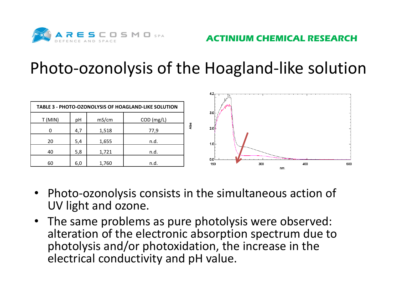

#### Photo‐ozonolysis of the Hoagland‐like solution



- Photo-ozonolysis consists in the simultaneous action of UV light and ozone.
- The same problems as pure photolysis were observed: alteration of the electronic absorption spectrum due to photolysis and/or photoxidation, the increase in the electrical conductivity and pH value.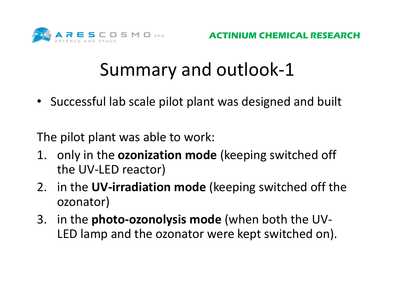

• Successful lab scale pilot plant was designed and built

The pilot plant was able to work:

- 1. only in the **ozonization mode** (keeping switched off the UV‐LED reactor)
- 2. in the **UV‐irradiation mode** (keeping switched off the ozonator)
- 3. in the **photo‐ozonolysis mode** (when both the UV‐ LED lamp and the ozonator were kept switched on).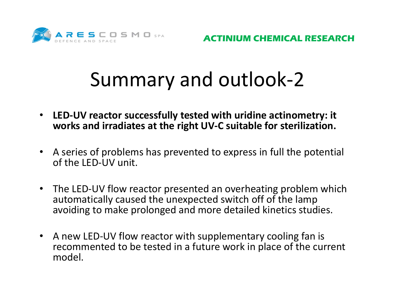

- **LED‐UV reactor successfully tested with uridine actinometry: it works and irradiates at the right UV‐C suitable for sterilization.**
- A series of problems has prevented to express in full the potential of the LED‐UV unit.
- • The LED‐UV flow reactor presented an overheating problem which automatically caused the unexpected switch off of the lamp avoiding to make prolonged and more detailed kinetics studies.
- A new LED-UV flow reactor with supplementary cooling fan is recommented to be tested in a future work in place of the current model.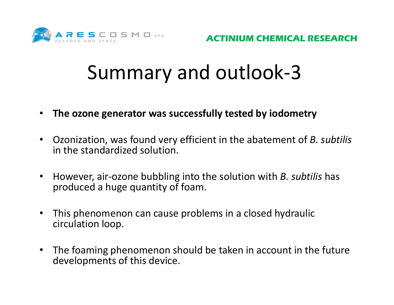

- $\bullet$ **The ozone generator was successfully tested by iodometry**
- $\bullet$  Ozonization, was found very efficient in the abatement of *B. subtilis* in the standardized solution.
- $\bullet$  However, air‐ozone bubbling into the solution with *B. subtilis* has produced a huge quantity of foam.
- $\bullet$  This phenomenon can cause problems in a closed hydraulic circulation loop.
- • The foaming phenomenon should be taken in account in the future developments of this device.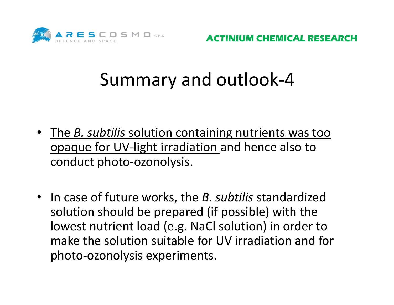

**IUM CHEMICAL RESEARCH** 

- The *B. subtilis* solution containing nutrients was too opaque for UV‐light irradiation and hence also to conduct photo‐ozonolysis.
- In case of future works, the *B. subtilis* standardized solution should be prepared (if possible) with the lowest nutrient load (e.g. NaCl solution) in order to make the solution suitable for UV irradiation and for photo‐ozonolysis experiments.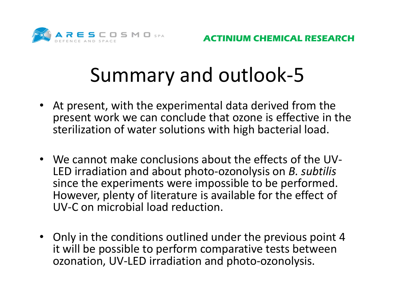

- At present, with the experimental data derived from the present work we can conclude that ozone is effective in the sterilization of water solutions with high bacterial load.
- We cannot make conclusions about the effects of the UV‐ LED irradiation and about photo‐ozonolysis on *B. subtilis* since the experiments were impossible to be performed. However, plenty of literature is available for the effect of UV‐C on microbial load reduction.
- Only in the conditions outlined under the previous point 4 it will be possible to perform comparative tests between ozonation, UV‐LED irradiation and photo‐ozonolysis.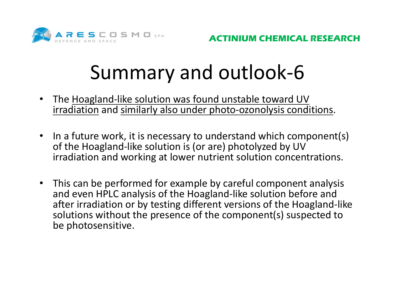

- •The Hoagland-like solution was found unstable toward UV irradiation and similarly also under photo‐ozonolysis conditions.
- In a future work, it is necessary to understand which component(s) of the Hoagland‐like solution is (or are) photolyzed by UV irradiation and working at lower nutrient solution concentrations.
- • This can be performed for example by careful component analysis and even HPLC analysis of the Hoagland‐like solution before and after irradiation or by testing different versions of the Hoagland‐like solutions without the presence of the component(s) suspected to be photosensitive.